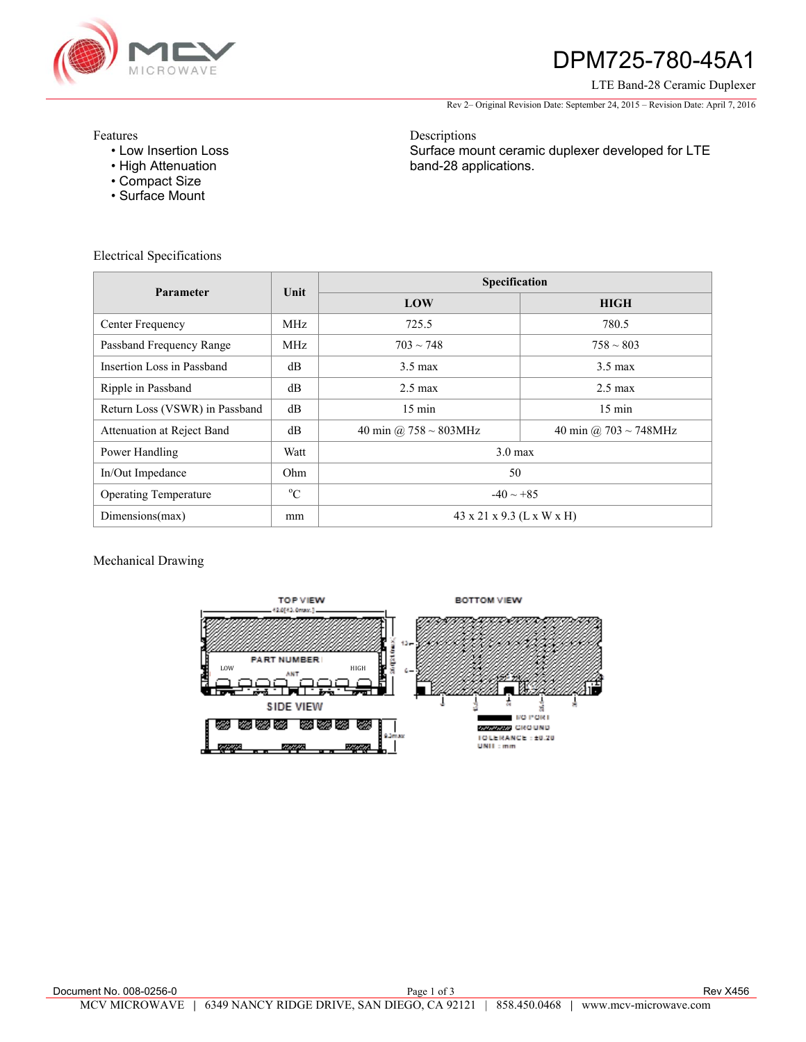

# DPM725-780-45A1

LTE Band-28 Ceramic Duplexer

Rev 2– Original Revision Date: September 24, 2015 – Revision Date: April 7, 2016

Features

- Low Insertion Loss
- High Attenuation
- Compact Size
- Surface Mount

Electrical Specifications

**Parameter** Unit **CONSERVING Unit <b>CONSERVING Specification LOW HIGH**  Center Frequency MHz MHz 725.5 780.5 Passband Frequency Range MHz  $703 \sim 748$  793  $\sim 758 \sim 803$ Insertion Loss in Passband dB dB 3.5 max 3.5 max 3.5 max 3.5 max Ripple in Passband dB dB 2.5 max 2.5 max 2.5 max 2.5 max Return Loss (VSWR) in Passband dB 15 min 15 min 15 min 15 min Attenuation at Reject Band dB 40 min  $\omega$  758 ~ 803MHz 40 min  $\omega$  703 ~ 748MHz Power Handling Watt View Watt 3.0 max In/Out Impedance 0hm 50 Operating Temperature  $\qquad \qquad \circ \text{C}$  $-40 \sim +85$ Dimensions(max) mm  $\parallel$  mm  $\parallel$  43 x 21 x 9.3 (L x W x H)

Mechanical Drawing



Descriptions Surface mount ceramic duplexer developed for LTE band-28 applications.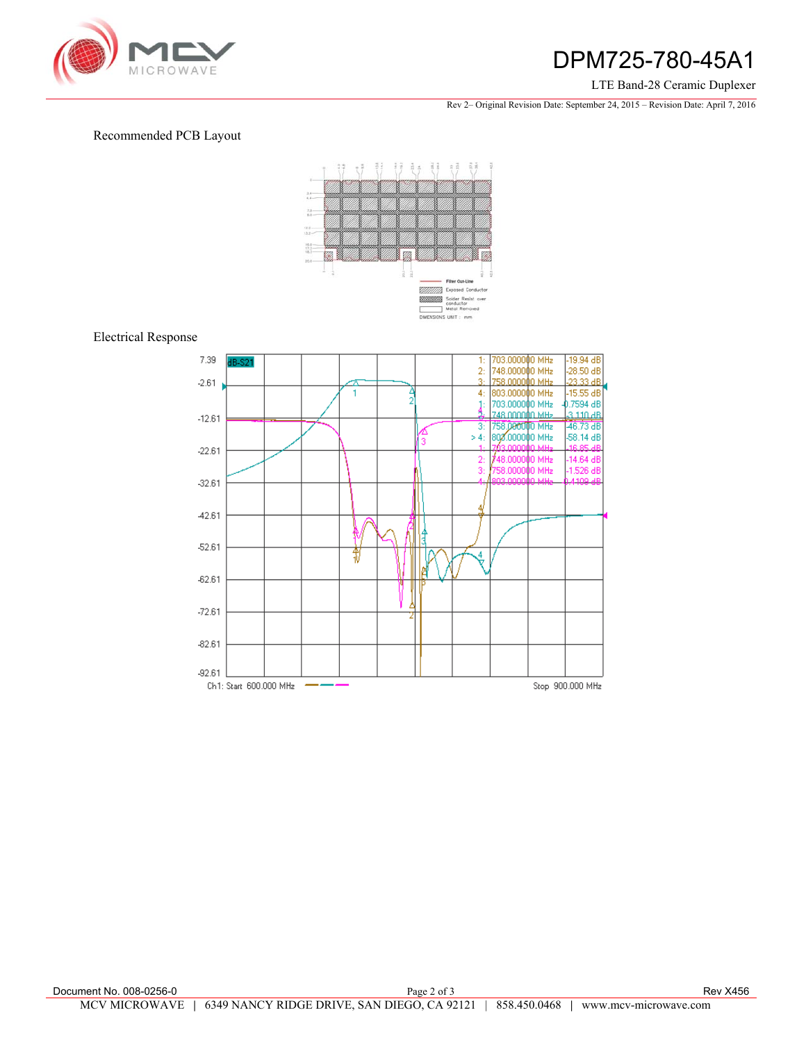

# DPM725-780-45A1

#### LTE Band-28 Ceramic Duplexer

Rev 2– Original Revision Date: September 24, 2015 – Revision Date: April 7, 2016

### Recommended PCB Layout



### Electrical Response